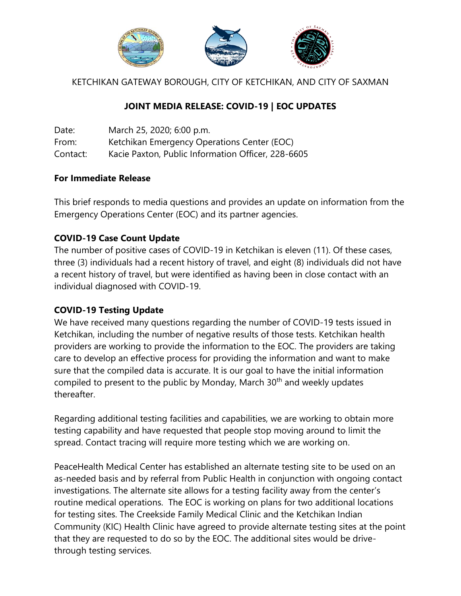

KETCHIKAN GATEWAY BOROUGH, CITY OF KETCHIKAN, AND CITY OF SAXMAN

## **JOINT MEDIA RELEASE: COVID-19 | EOC UPDATES**

| Date:    | March 25, 2020; 6:00 p.m.                          |
|----------|----------------------------------------------------|
| From:    | Ketchikan Emergency Operations Center (EOC)        |
| Contact: | Kacie Paxton, Public Information Officer, 228-6605 |

## **For Immediate Release**

This brief responds to media questions and provides an update on information from the Emergency Operations Center (EOC) and its partner agencies.

## **COVID-19 Case Count Update**

The number of positive cases of COVID-19 in Ketchikan is eleven (11). Of these cases, three (3) individuals had a recent history of travel, and eight (8) individuals did not have a recent history of travel, but were identified as having been in close contact with an individual diagnosed with COVID-19.

## **COVID-19 Testing Update**

We have received many questions regarding the number of COVID-19 tests issued in Ketchikan, including the number of negative results of those tests. Ketchikan health providers are working to provide the information to the EOC. The providers are taking care to develop an effective process for providing the information and want to make sure that the compiled data is accurate. It is our goal to have the initial information compiled to present to the public by Monday, March 30<sup>th</sup> and weekly updates thereafter.

Regarding additional testing facilities and capabilities, we are working to obtain more testing capability and have requested that people stop moving around to limit the spread. Contact tracing will require more testing which we are working on.

PeaceHealth Medical Center has established an alternate testing site to be used on an as-needed basis and by referral from Public Health in conjunction with ongoing contact investigations. The alternate site allows for a testing facility away from the center's routine medical operations. The EOC is working on plans for two additional locations for testing sites. The Creekside Family Medical Clinic and the Ketchikan Indian Community (KIC) Health Clinic have agreed to provide alternate testing sites at the point that they are requested to do so by the EOC. The additional sites would be drivethrough testing services.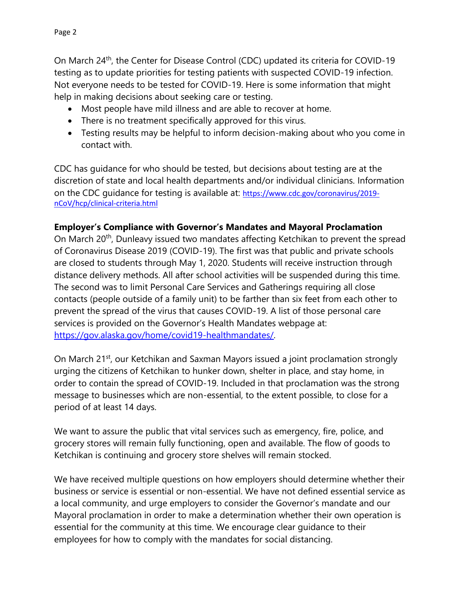On March 24<sup>th</sup>, the Center for Disease Control (CDC) updated its criteria for COVID-19 testing as to update priorities for testing patients with suspected COVID-19 infection. Not everyone needs to be tested for COVID-19. Here is some information that might help in making decisions about seeking care or testing.

- Most people have mild illness and are able to recover at home.
- There is no treatment specifically approved for this virus.
- Testing results may be helpful to inform decision-making about who you come in contact with.

CDC has guidance for who should be tested, but decisions about testing are at the discretion of state and local health departments and/or individual clinicians. Information on the CDC guidance for testing is available at: [https://www.cdc.gov/coronavirus/2019](https://www.cdc.gov/coronavirus/2019-nCoV/hcp/clinical-criteria.html) [nCoV/hcp/clinical-criteria.html](https://www.cdc.gov/coronavirus/2019-nCoV/hcp/clinical-criteria.html)

## **Employer's Compliance with Governor's Mandates and Mayoral Proclamation**

On March 20<sup>th</sup>, Dunleavy issued two mandates affecting Ketchikan to prevent the spread of Coronavirus Disease 2019 (COVID-19). The first was that public and private schools are closed to students through May 1, 2020. Students will receive instruction through distance delivery methods. All after school activities will be suspended during this time. The second was to limit Personal Care Services and Gatherings requiring all close contacts (people outside of a family unit) to be farther than six feet from each other to prevent the spread of the virus that causes COVID-19. A list of those personal care services is provided on the Governor's Health Mandates webpage at: [https://gov.alaska.gov/home/covid19-healthmandates/.](https://gov.alaska.gov/home/covid19-healthmandates/)

On March 21<sup>st</sup>, our Ketchikan and Saxman Mayors issued a joint proclamation strongly urging the citizens of Ketchikan to hunker down, shelter in place, and stay home, in order to contain the spread of COVID-19. Included in that proclamation was the strong message to businesses which are non-essential, to the extent possible, to close for a period of at least 14 days.

We want to assure the public that vital services such as emergency, fire, police, and grocery stores will remain fully functioning, open and available. The flow of goods to Ketchikan is continuing and grocery store shelves will remain stocked.

We have received multiple questions on how employers should determine whether their business or service is essential or non-essential. We have not defined essential service as a local community, and urge employers to consider the Governor's mandate and our Mayoral proclamation in order to make a determination whether their own operation is essential for the community at this time. We encourage clear guidance to their employees for how to comply with the mandates for social distancing.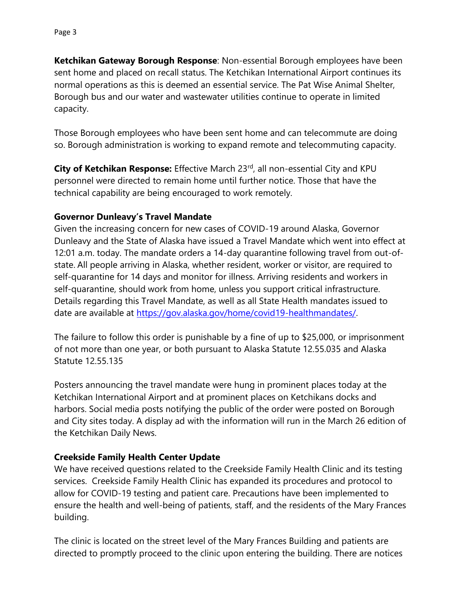**Ketchikan Gateway Borough Response**: Non-essential Borough employees have been sent home and placed on recall status. The Ketchikan International Airport continues its normal operations as this is deemed an essential service. The Pat Wise Animal Shelter, Borough bus and our water and wastewater utilities continue to operate in limited capacity.

Those Borough employees who have been sent home and can telecommute are doing so. Borough administration is working to expand remote and telecommuting capacity.

**City of Ketchikan Response:** Effective March 23<sup>rd</sup>, all non-essential City and KPU personnel were directed to remain home until further notice. Those that have the technical capability are being encouraged to work remotely.

## **Governor Dunleavy's Travel Mandate**

Given the increasing concern for new cases of COVID-19 around Alaska, Governor Dunleavy and the State of Alaska have issued a Travel Mandate which went into effect at 12:01 a.m. today. The mandate orders a 14-day quarantine following travel from out-ofstate. All people arriving in Alaska, whether resident, worker or visitor, are required to self-quarantine for 14 days and monitor for illness. Arriving residents and workers in self-quarantine, should work from home, unless you support critical infrastructure. Details regarding this Travel Mandate, as well as all State Health mandates issued to date are available at [https://gov.alaska.gov/home/covid19-healthmandates/.](https://gov.alaska.gov/home/covid19-healthmandates/)

The failure to follow this order is punishable by a fine of up to \$25,000, or imprisonment of not more than one year, or both pursuant to Alaska Statute 12.55.035 and Alaska Statute 12.55.135

Posters announcing the travel mandate were hung in prominent places today at the Ketchikan International Airport and at prominent places on Ketchikans docks and harbors. Social media posts notifying the public of the order were posted on Borough and City sites today. A display ad with the information will run in the March 26 edition of the Ketchikan Daily News.

## **Creekside Family Health Center Update**

We have received questions related to the Creekside Family Health Clinic and its testing services. Creekside Family Health Clinic has expanded its procedures and protocol to allow for COVID-19 testing and patient care. Precautions have been implemented to ensure the health and well-being of patients, staff, and the residents of the Mary Frances building.

The clinic is located on the street level of the Mary Frances Building and patients are directed to promptly proceed to the clinic upon entering the building. There are notices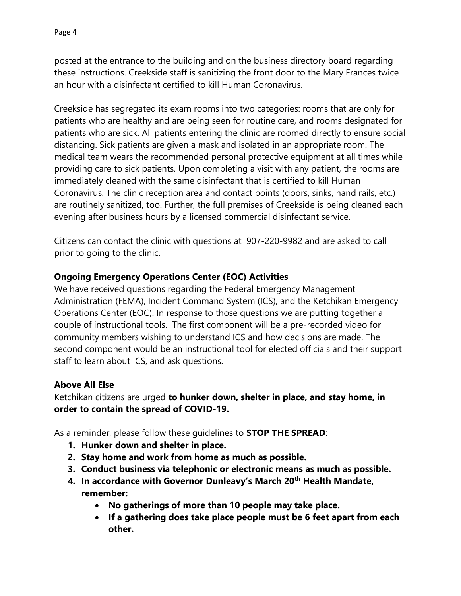posted at the entrance to the building and on the business directory board regarding these instructions. Creekside staff is sanitizing the front door to the Mary Frances twice an hour with a disinfectant certified to kill Human Coronavirus.

Creekside has segregated its exam rooms into two categories: rooms that are only for patients who are healthy and are being seen for routine care, and rooms designated for patients who are sick. All patients entering the clinic are roomed directly to ensure social distancing. Sick patients are given a mask and isolated in an appropriate room. The medical team wears the recommended personal protective equipment at all times while providing care to sick patients. Upon completing a visit with any patient, the rooms are immediately cleaned with the same disinfectant that is certified to kill Human Coronavirus. The clinic reception area and contact points (doors, sinks, hand rails, etc.) are routinely sanitized, too. Further, the full premises of Creekside is being cleaned each evening after business hours by a licensed commercial disinfectant service.

Citizens can contact the clinic with questions at 907-220-9982 and are asked to call prior to going to the clinic.

## **Ongoing Emergency Operations Center (EOC) Activities**

We have received questions regarding the Federal Emergency Management Administration (FEMA), Incident Command System (ICS), and the Ketchikan Emergency Operations Center (EOC). In response to those questions we are putting together a couple of instructional tools. The first component will be a pre-recorded video for community members wishing to understand ICS and how decisions are made. The second component would be an instructional tool for elected officials and their support staff to learn about ICS, and ask questions.

#### **Above All Else**

Ketchikan citizens are urged **to hunker down, shelter in place, and stay home, in order to contain the spread of COVID-19.**

As a reminder, please follow these guidelines to **STOP THE SPREAD**:

- **1. Hunker down and shelter in place.**
- **2. Stay home and work from home as much as possible.**
- **3. Conduct business via telephonic or electronic means as much as possible.**
- **4. In accordance with Governor Dunleavy's March 20th Health Mandate, remember:**
	- **No gatherings of more than 10 people may take place.**
	- **If a gathering does take place people must be 6 feet apart from each other.**